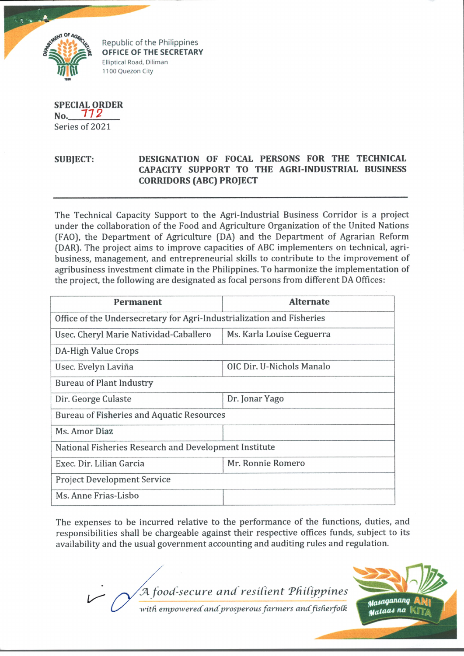

Republic of the Philippines **OFFICE OF THE SECRETARY** Elliptical Road, Diliman 1100 Quezon City

**SPECIAL ORDER No. 77 g** Series of 2021

## **SUBJECT: DESIGNATION OF FOCAL PERSONS FOR THE TECHNICAL CAPACITY SUPPORT TO THE AGRI-INDUSTRIAL BUSINESS CORRIDORS (ABC) PROJECT**

The Technical Capacity Support to the Agri-Industrial Business Corridor is a project under the collaboration of the Food and Agriculture Organization of the United Nations (FAO), the Department of Agriculture (DA) and the Department of Agrarian Reform (DAR). The project aims to improve capacities of ABC implementers on technical, agribusiness, management, and entrepreneurial skills to contribute to the improvement of agribusiness investment climate in the Philippines. To harmonize the implementation of the project, the following are designated as focal persons from different DA Offices:

| Permanent                                                             | <b>Alternate</b>          |
|-----------------------------------------------------------------------|---------------------------|
| Office of the Undersecretary for Agri-Industrialization and Fisheries |                           |
| Usec. Cheryl Marie Natividad-Caballero                                | Ms. Karla Louise Ceguerra |
| DA-High Value Crops                                                   |                           |
| Usec. Evelyn Laviña                                                   | OIC Dir. U-Nichols Manalo |
| <b>Bureau of Plant Industry</b>                                       |                           |
| Dir. George Culaste                                                   | Dr. Jonar Yago            |
| Bureau of Fisheries and Aquatic Resources                             |                           |
| Ms. Amor Diaz                                                         |                           |
| National Fisheries Research and Development Institute                 |                           |
| Exec. Dir. Lilian Garcia                                              | Mr. Ronnie Romero         |
| <b>Project Development Service</b>                                    |                           |
| Ms. Anne Frias-Lisbo                                                  |                           |

The expenses to be incurred relative to the performance of the functions, duties, and responsibilities shall be chargeable against their respective offices funds, subject to its availability and the usual government accounting and auditing rules and regulation.

*food-secure and resilient 'Philippines*